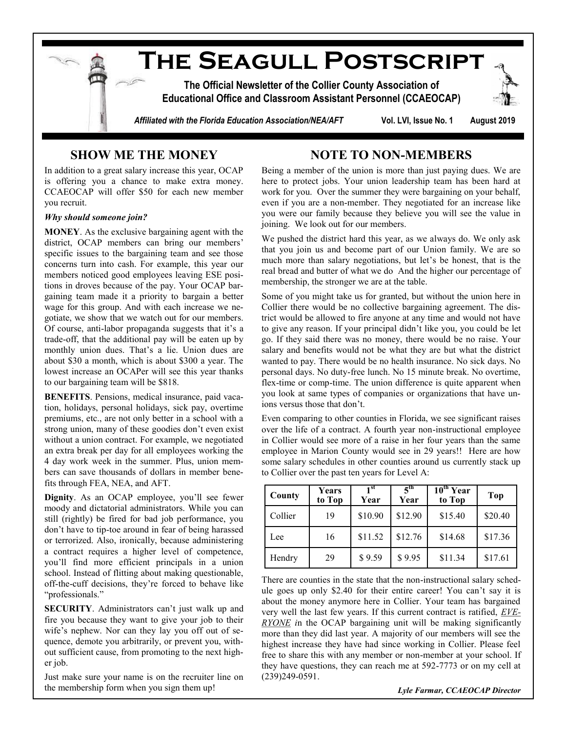

## **SHOW ME THE MONEY**

In addition to a great salary increase this year, OCAP is offering you a chance to make extra money. CCAEOCAP will offer \$50 for each new member you recruit.

## *Why should someone join?*

**MONEY**. As the exclusive bargaining agent with the district, OCAP members can bring our members' specific issues to the bargaining team and see those concerns turn into cash. For example, this year our members noticed good employees leaving ESE positions in droves because of the pay. Your OCAP bargaining team made it a priority to bargain a better wage for this group. And with each increase we negotiate, we show that we watch out for our members. Of course, anti-labor propaganda suggests that it's a trade-off, that the additional pay will be eaten up by monthly union dues. That's a lie. Union dues are about \$30 a month, which is about \$300 a year. The lowest increase an OCAPer will see this year thanks to our bargaining team will be \$818.

**BENEFITS**. Pensions, medical insurance, paid vacation, holidays, personal holidays, sick pay, overtime premiums, etc., are not only better in a school with a strong union, many of these goodies don't even exist without a union contract. For example, we negotiated an extra break per day for all employees working the 4 day work week in the summer. Plus, union members can save thousands of dollars in member benefits through FEA, NEA, and AFT.

**Dignity**. As an OCAP employee, you'll see fewer moody and dictatorial administrators. While you can still (rightly) be fired for bad job performance, you don't have to tip-toe around in fear of being harassed or terrorized. Also, ironically, because administering a contract requires a higher level of competence, you'll find more efficient principals in a union school. Instead of flitting about making questionable, off-the-cuff decisions, they're forced to behave like "professionals."

**SECURITY**. Administrators can't just walk up and fire you because they want to give your job to their wife's nephew. Nor can they lay you off out of sequence, demote you arbitrarily, or prevent you, without sufficient cause, from promoting to the next higher job.

Just make sure your name is on the recruiter line on the membership form when you sign them up!

## **NOTE TO NON-MEMBERS**

Being a member of the union is more than just paying dues. We are here to protect jobs. Your union leadership team has been hard at work for you. Over the summer they were bargaining on your behalf, even if you are a non-member. They negotiated for an increase like you were our family because they believe you will see the value in joining. We look out for our members.

We pushed the district hard this year, as we always do. We only ask that you join us and become part of our Union family. We are so much more than salary negotiations, but let's be honest, that is the real bread and butter of what we do And the higher our percentage of membership, the stronger we are at the table.

Some of you might take us for granted, but without the union here in Collier there would be no collective bargaining agreement. The district would be allowed to fire anyone at any time and would not have to give any reason. If your principal didn't like you, you could be let go. If they said there was no money, there would be no raise. Your salary and benefits would not be what they are but what the district wanted to pay. There would be no health insurance. No sick days. No personal days. No duty-free lunch. No 15 minute break. No overtime, flex-time or comp-time. The union difference is quite apparent when you look at same types of companies or organizations that have unions versus those that don't.

Even comparing to other counties in Florida, we see significant raises over the life of a contract. A fourth year non-instructional employee in Collier would see more of a raise in her four years than the same employee in Marion County would see in 29 years!! Here are how some salary schedules in other counties around us currently stack up to Collier over the past ten years for Level A:

| County  | Years<br>to Top | 1 <sup>st</sup><br>Year | $\boldsymbol{5}^{\text{th}}$<br>Year | $10^{\text{th}}$ Year<br>to Top | Top     |
|---------|-----------------|-------------------------|--------------------------------------|---------------------------------|---------|
| Collier | 19              | \$10.90                 | \$12.90                              | \$15.40                         | \$20.40 |
| Lee     | 16              | \$11.52                 | \$12.76                              | \$14.68                         | \$17.36 |
| Hendry  | 29              | \$9.59                  | \$9.95                               | \$11.34                         | \$17.61 |

There are counties in the state that the non-instructional salary schedule goes up only \$2.40 for their entire career! You can't say it is about the money anymore here in Collier. Your team has bargained very well the last few years. If this current contract is ratified, *EVE-RYONE i*n the OCAP bargaining unit will be making significantly more than they did last year. A majority of our members will see the highest increase they have had since working in Collier. Please feel free to share this with any member or non-member at your school. If they have questions, they can reach me at 592-7773 or on my cell at (239)249-0591.